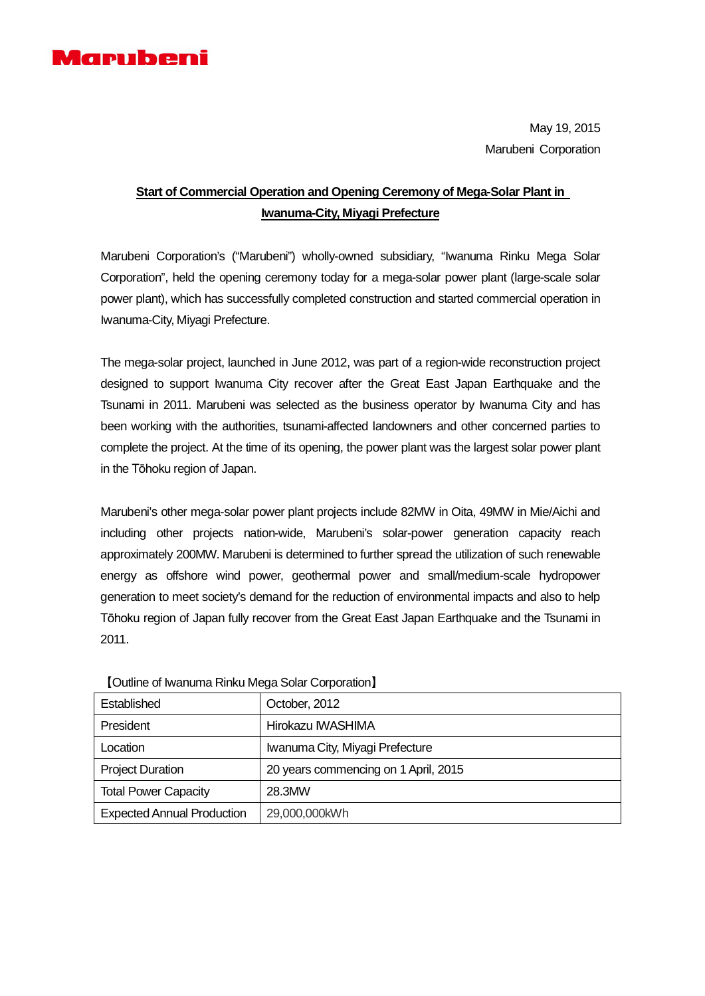

May 19, 2015 Marubeni Corporation

## **Start of Commercial Operation and Opening Ceremony of Mega-Solar Plant in Iwanuma-City, Miyagi Prefecture**

Marubeni Corporation's ("Marubeni") wholly-owned subsidiary, "Iwanuma Rinku Mega Solar Corporation", held the opening ceremony today for a mega-solar power plant (large-scale solar power plant), which has successfully completed construction and started commercial operation in Iwanuma-City, Miyagi Prefecture.

The mega-solar project, launched in June 2012, was part of a region-wide reconstruction project designed to support Iwanuma City recover after the Great East Japan Earthquake and the Tsunami in 2011. Marubeni was selected as the business operator by Iwanuma City and has been working with the authorities, tsunami-affected landowners and other concerned parties to complete the project. At the time of its opening, the power plant was the largest solar power plant in the Tōhoku region of Japan.

Marubeni's other mega-solar power plant projects include 82MW in Oita, 49MW in Mie/Aichi and including other projects nation-wide, Marubeni's solar-power generation capacity reach approximately 200MW. Marubeni is determined to further spread the utilization of such renewable energy as offshore wind power, geothermal power and small/medium-scale hydropower generation to meet society's demand for the reduction of environmental impacts and also to help Tōhoku region of Japan fully recover from the Great East Japan Earthquake and the Tsunami in 2011.

| Established                       | October, 2012                        |
|-----------------------------------|--------------------------------------|
| President                         | Hirokazu IWASHIMA                    |
| Location                          | Iwanuma City, Miyagi Prefecture      |
| <b>Project Duration</b>           | 20 years commencing on 1 April, 2015 |
| <b>Total Power Capacity</b>       | 28.3MW                               |
| <b>Expected Annual Production</b> | 29,000,000kWh                        |

【Outline of Iwanuma Rinku Mega Solar Corporation】